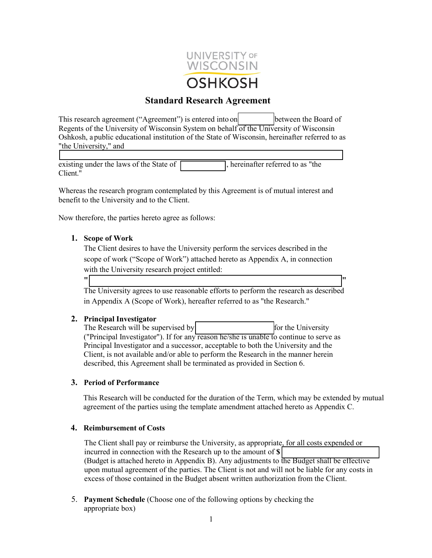

# **Standard Research Agreement**

This research agreement ("Agreement") is entered into on between the Board of Regents of the University of Wisconsin System on behalf of the University of Wisconsin Oshkosh, a public educational institution of the State of Wisconsin, hereinafter referred to as "the University," and

existing under the laws of the State of **Fig. 20. 1.1.** hereinafter referred to as "the Client."

Whereas the research program contemplated by this Agreement is of mutual interest and benefit to the University and to the Client.

Now therefore, the parties hereto agree as follows:

# **1. Scope of Work**

The Client desires to have the University perform the services described in the scope of work ("Scope of Work") attached hereto as Appendix A, in connection with the University research project entitled:

**"**

The University agrees to use reasonable efforts to perform the research as described in Appendix A (Scope of Work), hereafter referred to as "the Research."

 **"**

# **2. Principal Investigator**

The Research will be supervised by for the University ("Principal Investigator"). If for any reason he/she is unable to continue to serve as Principal Investigator and a successor, acceptable to both the University and the Client, is not available and/or able to perform the Research in the manner herein described, this Agreement shall be terminated as provided in Section 6.

# **3. Period of Performance**

This Research will be conducted for the duration of the Term, which may be extended by mutual agreement of the parties using the template amendment attached hereto as Appendix C.

# **4. Reimbursement of Costs**

The Client shall pay or reimburse the University, as appropriate, for all costs expended or incurred in connection with the Research up to the amount of **\$** (Budget is attached hereto in Appendix B). Any adjustments to the Budget shall be effective upon mutual agreement of the parties. The Client is not and will not be liable for any costs in excess of those contained in the Budget absent written authorization from the Client.

5. **Payment Schedule** (Choose one of the following options by checking the appropriate box)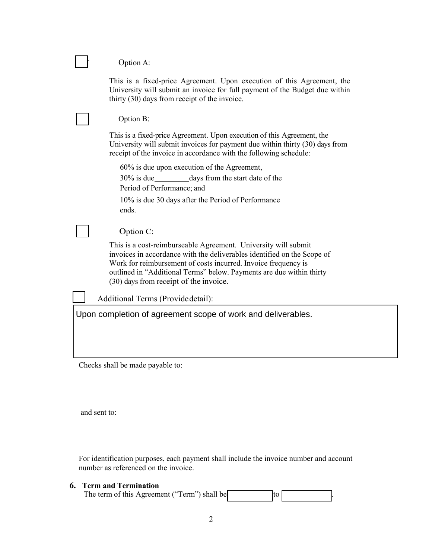|                                                              | Option A:                                                                                                                                                                                                                   |  |
|--------------------------------------------------------------|-----------------------------------------------------------------------------------------------------------------------------------------------------------------------------------------------------------------------------|--|
|                                                              | This is a fixed-price Agreement. Upon execution of this Agreement, the<br>University will submit an invoice for full payment of the Budget due within<br>thirty (30) days from receipt of the invoice.                      |  |
|                                                              | Option B:                                                                                                                                                                                                                   |  |
|                                                              | This is a fixed-price Agreement. Upon execution of this Agreement, the<br>University will submit invoices for payment due within thirty (30) days from<br>receipt of the invoice in accordance with the following schedule: |  |
|                                                              | 60% is due upon execution of the Agreement,                                                                                                                                                                                 |  |
|                                                              | $30\%$ is due<br>days from the start date of the                                                                                                                                                                            |  |
|                                                              | Period of Performance; and                                                                                                                                                                                                  |  |
|                                                              | 10% is due 30 days after the Period of Performance                                                                                                                                                                          |  |
|                                                              | ends.                                                                                                                                                                                                                       |  |
|                                                              | Option C:                                                                                                                                                                                                                   |  |
|                                                              | This is a cost-reimburseable Agreement. University will submit                                                                                                                                                              |  |
|                                                              | invoices in accordance with the deliverables identified on the Scope of                                                                                                                                                     |  |
|                                                              | Work for reimbursement of costs incurred. Invoice frequency is<br>outlined in "Additional Terms" below. Payments are due within thirty                                                                                      |  |
|                                                              | (30) days from receipt of the invoice.                                                                                                                                                                                      |  |
|                                                              | Additional Terms (Provide detail):                                                                                                                                                                                          |  |
| Upon completion of agreement scope of work and deliverables. |                                                                                                                                                                                                                             |  |
|                                                              |                                                                                                                                                                                                                             |  |
|                                                              |                                                                                                                                                                                                                             |  |
|                                                              |                                                                                                                                                                                                                             |  |
|                                                              |                                                                                                                                                                                                                             |  |
| Checks shall be made payable to:                             |                                                                                                                                                                                                                             |  |

and sent to:

For identification purposes, each payment shall include the invoice number and account number as referenced on the invoice.

| <b>6.</b> Term and Termination               |     |  |
|----------------------------------------------|-----|--|
| The term of this Agreement ("Term") shall be | Ito |  |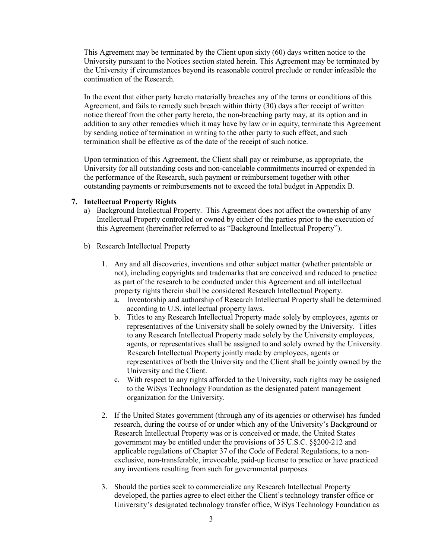This Agreement may be terminated by the Client upon sixty (60) days written notice to the University pursuant to the Notices section stated herein. This Agreement may be terminated by the University if circumstances beyond its reasonable control preclude or render infeasible the continuation of the Research.

In the event that either party hereto materially breaches any of the terms or conditions of this Agreement, and fails to remedy such breach within thirty (30) days after receipt of written notice thereof from the other party hereto, the non-breaching party may, at its option and in addition to any other remedies which it may have by law or in equity, terminate this Agreement by sending notice of termination in writing to the other party to such effect, and such termination shall be effective as of the date of the receipt of such notice.

Upon termination of this Agreement, the Client shall pay or reimburse, as appropriate, the University for all outstanding costs and non-cancelable commitments incurred or expended in the performance of the Research, such payment or reimbursement together with other outstanding payments or reimbursements not to exceed the total budget in Appendix B.

# **7. Intellectual Property Rights**

- a) Background Intellectual Property. This Agreement does not affect the ownership of any Intellectual Property controlled or owned by either of the parties prior to the execution of this Agreement (hereinafter referred to as "Background Intellectual Property").
- b) Research Intellectual Property
	- 1. Any and all discoveries, inventions and other subject matter (whether patentable or not), including copyrights and trademarks that are conceived and reduced to practice as part of the research to be conducted under this Agreement and all intellectual property rights therein shall be considered Research Intellectual Property.
		- a. Inventorship and authorship of Research Intellectual Property shall be determined according to U.S. intellectual property laws.
		- b. Titles to any Research Intellectual Property made solely by employees, agents or representatives of the University shall be solely owned by the University. Titles to any Research Intellectual Property made solely by the University employees, agents, or representatives shall be assigned to and solely owned by the University. Research Intellectual Property jointly made by employees, agents or representatives of both the University and the Client shall be jointly owned by the University and the Client.
		- c. With respect to any rights afforded to the University, such rights may be assigned to the WiSys Technology Foundation as the designated patent management organization for the University.
	- 2. If the United States government (through any of its agencies or otherwise) has funded research, during the course of or under which any of the University's Background or Research Intellectual Property was or is conceived or made, the United States government may be entitled under the provisions of 35 U.S.C. §§200-212 and applicable regulations of Chapter 37 of the Code of Federal Regulations, to a nonexclusive, non-transferable, irrevocable, paid-up license to practice or have practiced any inventions resulting from such for governmental purposes.
	- 3. Should the parties seek to commercialize any Research Intellectual Property developed, the parties agree to elect either the Client's technology transfer office or University's designated technology transfer office, WiSys Technology Foundation as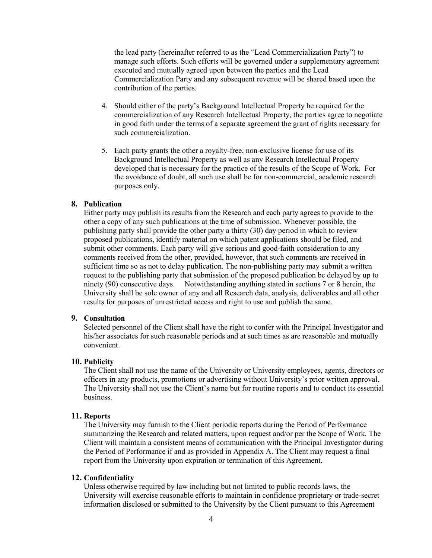the lead party (hereinafter referred to as the "Lead Commercialization Party") to manage such efforts. Such efforts will be governed under a supplementary agreement executed and mutually agreed upon between the parties and the Lead Commercialization Party and any subsequent revenue will be shared based upon the contribution of the parties.

- 4. Should either of the party's Background Intellectual Property be required for the commercialization of any Research Intellectual Property, the parties agree to negotiate in good faith under the terms of a separate agreement the grant of rights necessary for such commercialization.
- 5. Each party grants the other a royalty-free, non-exclusive license for use of its Background Intellectual Property as well as any Research Intellectual Property developed that is necessary for the practice of the results of the Scope of Work. For the avoidance of doubt, all such use shall be for non-commercial, academic research purposes only.

# **8. Publication**

Either party may publish its results from the Research and each party agrees to provide to the other a copy of any such publications at the time of submission. Whenever possible, the publishing party shall provide the other party a thirty (30) day period in which to review proposed publications, identify material on which patent applications should be filed, and submit other comments. Each party will give serious and good-faith consideration to any comments received from the other, provided, however, that such comments are received in sufficient time so as not to delay publication. The non-publishing party may submit a written request to the publishing party that submission of the proposed publication be delayed by up to ninety (90) consecutive days. Notwithstanding anything stated in sections 7 or 8 herein, the University shall be sole owner of any and all Research data, analysis, deliverables and all other results for purposes of unrestricted access and right to use and publish the same.

# **9. Consultation**

Selected personnel of the Client shall have the right to confer with the Principal Investigator and his/her associates for such reasonable periods and at such times as are reasonable and mutually convenient.

# **10. Publicity**

The Client shall not use the name of the University or University employees, agents, directors or officers in any products, promotions or advertising without University's prior written approval. The University shall not use the Client's name but for routine reports and to conduct its essential business.

# **11. Reports**

The University may furnish to the Client periodic reports during the Period of Performance summarizing the Research and related matters, upon request and/or per the Scope of Work. The Client will maintain a consistent means of communication with the Principal Investigator during the Period of Performance if and as provided in Appendix A. The Client may request a final report from the University upon expiration or termination of this Agreement.

# **12. Confidentiality**

Unless otherwise required by law including but not limited to public records laws, the University will exercise reasonable efforts to maintain in confidence proprietary or trade-secret information disclosed or submitted to the University by the Client pursuant to this Agreement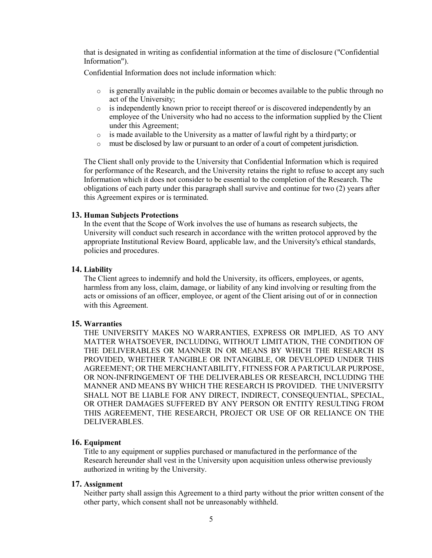that is designated in writing as confidential information at the time of disclosure ("Confidential Information").

Confidential Information does not include information which:

- $\circ$  is generally available in the public domain or becomes available to the public through no act of the University;
- o is independently known prior to receipt thereof or is discovered independently by an employee of the University who had no access to the information supplied by the Client under this Agreement;
- o is made available to the University as a matter of lawful right by a thirdparty; or
- o must be disclosed by law or pursuant to an order of a court of competent jurisdiction.

The Client shall only provide to the University that Confidential Information which is required for performance of the Research, and the University retains the right to refuse to accept any such Information which it does not consider to be essential to the completion of the Research. The obligations of each party under this paragraph shall survive and continue for two (2) years after this Agreement expires or is terminated.

## **13. Human Subjects Protections**

In the event that the Scope of Work involves the use of humans as research subjects, the University will conduct such research in accordance with the written protocol approved by the appropriate Institutional Review Board, applicable law, and the University's ethical standards, policies and procedures.

# **14. Liability**

The Client agrees to indemnify and hold the University, its officers, employees, or agents, harmless from any loss, claim, damage, or liability of any kind involving or resulting from the acts or omissions of an officer, employee, or agent of the Client arising out of or in connection with this Agreement.

# **15. Warranties**

THE UNIVERSITY MAKES NO WARRANTIES, EXPRESS OR IMPLIED, AS TO ANY MATTER WHATSOEVER, INCLUDING, WITHOUT LIMITATION, THE CONDITION OF THE DELIVERABLES OR MANNER IN OR MEANS BY WHICH THE RESEARCH IS PROVIDED, WHETHER TANGIBLE OR INTANGIBLE, OR DEVELOPED UNDER THIS AGREEMENT; OR THE MERCHANTABILITY, FITNESS FOR A PARTICULAR PURPOSE, OR NON-INFRINGEMENT OF THE DELIVERABLES OR RESEARCH, INCLUDING THE MANNER AND MEANS BY WHICH THE RESEARCH IS PROVIDED. THE UNIVERSITY SHALL NOT BE LIABLE FOR ANY DIRECT, INDIRECT, CONSEQUENTIAL, SPECIAL, OR OTHER DAMAGES SUFFERED BY ANY PERSON OR ENTITY RESULTING FROM THIS AGREEMENT, THE RESEARCH, PROJECT OR USE OF OR RELIANCE ON THE DELIVERABLES.

#### **16. Equipment**

Title to any equipment or supplies purchased or manufactured in the performance of the Research hereunder shall vest in the University upon acquisition unless otherwise previously authorized in writing by the University.

# **17. Assignment**

Neither party shall assign this Agreement to a third party without the prior written consent of the other party, which consent shall not be unreasonably withheld.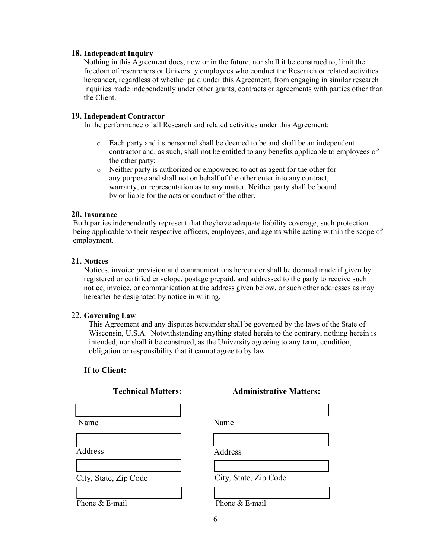# **18. Independent Inquiry**

Nothing in this Agreement does, now or in the future, nor shall it be construed to, limit the freedom of researchers or University employees who conduct the Research or related activities hereunder, regardless of whether paid under this Agreement, from engaging in similar research inquiries made independently under other grants, contracts or agreements with parties other than the Client.

# **19. Independent Contractor**

In the performance of all Research and related activities under this Agreement:

- o Each party and its personnel shall be deemed to be and shall be an independent contractor and, as such, shall not be entitled to any benefits applicable to employees of the other party;
- o Neither party is authorized or empowered to act as agent for the other for any purpose and shall not on behalf of the other enter into any contract, warranty, or representation as to any matter. Neither party shall be bound by or liable for the acts or conduct of the other.

# **20. Insurance**

Both parties independently represent that theyhave adequate liability coverage, such protection being applicable to their respective officers, employees, and agents while acting within the scope of employment.

## **21. Notices**

Notices, invoice provision and communications hereunder shall be deemed made if given by registered or certified envelope, postage prepaid, and addressed to the party to receive such notice, invoice, or communication at the address given below, or such other addresses as may hereafter be designated by notice in writing.

### 22. **Governing Law**

This Agreement and any disputes hereunder shall be governed by the laws of the State of Wisconsin, U.S.A. Notwithstanding anything stated herein to the contrary, nothing herein is intended, nor shall it be construed, as the University agreeing to any term, condition, obligation or responsibility that it cannot agree to by law.

# **If to Client:**

| <b>Technical Matters:</b> | <b>Administrative Matters:</b> |
|---------------------------|--------------------------------|
|                           |                                |
| Name                      | Name                           |
|                           |                                |
| <b>Address</b>            | Address                        |
|                           |                                |
| City, State, Zip Code     | City, State, Zip Code          |
|                           |                                |
| Phone & E-mail            | Phone & E-mail                 |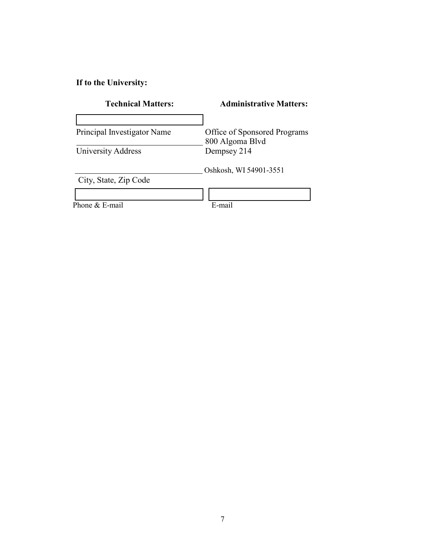**If to the University:**

| <b>Technical Matters:</b>   | <b>Administrative Matters:</b>                  |
|-----------------------------|-------------------------------------------------|
|                             |                                                 |
| Principal Investigator Name | Office of Sponsored Programs<br>800 Algoma Blvd |
| University Address          | Dempsey 214                                     |
|                             | Oshkosh, WI 54901-3551                          |
| City, State, Zip Code       |                                                 |
|                             |                                                 |
| Phone $&$ E-mail            | E-mail                                          |